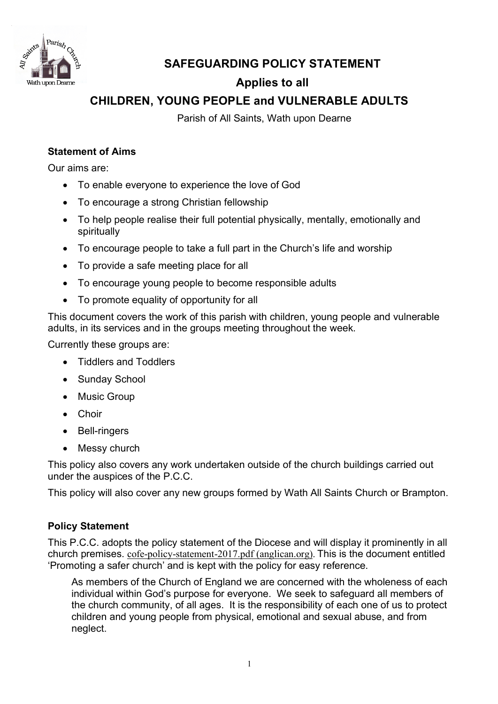

# **SAFEGUARDING POLICY STATEMENT**

# **Applies to all**

# **CHILDREN, YOUNG PEOPLE and VULNERABLE ADULTS**

Parish of All Saints, Wath upon Dearne

# **Statement of Aims**

Our aims are:

- To enable everyone to experience the love of God
- To encourage a strong Christian fellowship
- To help people realise their full potential physically, mentally, emotionally and spiritually
- To encourage people to take a full part in the Church's life and worship
- To provide a safe meeting place for all
- To encourage young people to become responsible adults
- To promote equality of opportunity for all

This document covers the work of this parish with children, young people and vulnerable adults, in its services and in the groups meeting throughout the week.

Currently these groups are:

- Tiddlers and Toddlers
- Sunday School
- Music Group
- Choir
- Bell-ringers
- Messy church

This policy also covers any work undertaken outside of the church buildings carried out under the auspices of the P.C.C.

This policy will also cover any new groups formed by Wath All Saints Church or Brampton.

# **Policy Statement**

This P.C.C. adopts the policy statement of the Diocese and will display it prominently in all church premises. cofe-policy-statement-2017.pdf (anglican.org). This is the document entitled 'Promoting a safer church' and is kept with the policy for easy reference.

As members of the Church of England we are concerned with the wholeness of each individual within God's purpose for everyone. We seek to safeguard all members of the church community, of all ages. It is the responsibility of each one of us to protect children and young people from physical, emotional and sexual abuse, and from neglect.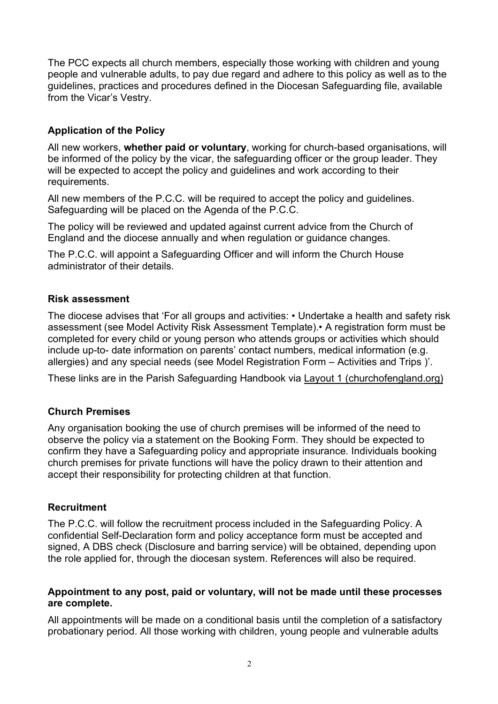The PCC expects all church members, especially those working with children and young people and vulnerable adults, to pay due regard and adhere to this policy as well as to the guidelines, practices and procedures defined in the Diocesan Safeguarding file, available from the Vicar's Vestry.

# **Application of the Policy**

All new workers, **whether paid or voluntary**, working for church-based organisations, will be informed of the policy by the vicar, the safeguarding officer or the group leader. They will be expected to accept the policy and guidelines and work according to their requirements.

All new members of the P.C.C. will be required to accept the policy and guidelines. Safeguarding will be placed on the Agenda of the P.C.C.

The policy will be reviewed and updated against current advice from the Church of England and the diocese annually and when regulation or guidance changes.

The P.C.C. will appoint a Safeguarding Officer and will inform the Church House administrator of their details.

#### **Risk assessment**

The diocese advises that 'For all groups and activities: • Undertake a health and safety risk assessment (see Model Activity Risk Assessment Template).• A registration form must be completed for every child or young person who attends groups or activities which should include up-to- date information on parents' contact numbers, medical information (e.g. allergies) and any special needs (see Model Registration Form – Activities and Trips )'.

These links are in the Parish Safeguarding Handbook via Layout 1 (churchofengland.org)

# **Church Premises**

Any organisation booking the use of church premises will be informed of the need to observe the policy via a statement on the Booking Form. They should be expected to confirm they have a Safeguarding policy and appropriate insurance. Individuals booking church premises for private functions will have the policy drawn to their attention and accept their responsibility for protecting children at that function.

#### **Recruitment**

The P.C.C. will follow the recruitment process included in the Safeguarding Policy. A confidential Self-Declaration form and policy acceptance form must be accepted and signed, A DBS check (Disclosure and barring service) will be obtained, depending upon the role applied for, through the diocesan system. References will also be required.

#### **Appointment to any post, paid or voluntary, will not be made until these processes are complete.**

All appointments will be made on a conditional basis until the completion of a satisfactory probationary period. All those working with children, young people and vulnerable adults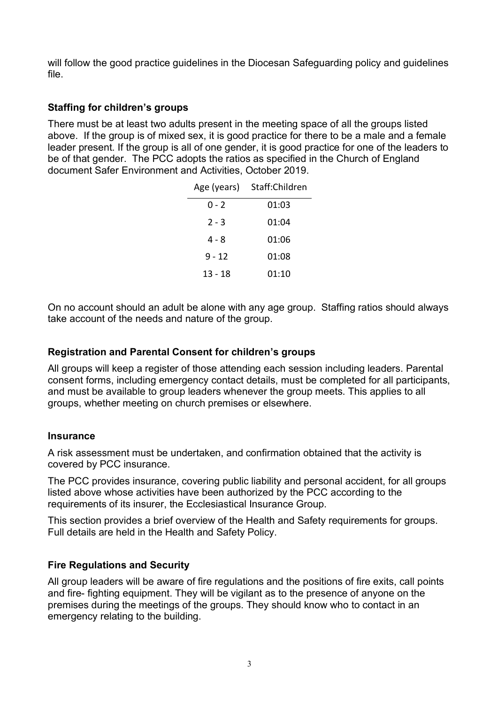will follow the good practice guidelines in the Diocesan Safeguarding policy and guidelines file.

## **Staffing for children's groups**

There must be at least two adults present in the meeting space of all the groups listed above. If the group is of mixed sex, it is good practice for there to be a male and a female leader present. If the group is all of one gender, it is good practice for one of the leaders to be of that gender. The PCC adopts the ratios as specified in the Church of England document Safer Environment and Activities, October 2019.

| Age (years) | Staff:Children |
|-------------|----------------|
| $0 - 2$     | 01:03          |
| $2 - 3$     | 01:04          |
| 4 - 8       | 01:06          |
| 9 - 12      | 01:08          |
| 13 - 18     | 01:10          |

On no account should an adult be alone with any age group. Staffing ratios should always take account of the needs and nature of the group.

## **Registration and Parental Consent for children's groups**

All groups will keep a register of those attending each session including leaders. Parental consent forms, including emergency contact details, must be completed for all participants, and must be available to group leaders whenever the group meets. This applies to all groups, whether meeting on church premises or elsewhere.

#### **Insurance**

A risk assessment must be undertaken, and confirmation obtained that the activity is covered by PCC insurance.

The PCC provides insurance, covering public liability and personal accident, for all groups listed above whose activities have been authorized by the PCC according to the requirements of its insurer, the Ecclesiastical Insurance Group.

This section provides a brief overview of the Health and Safety requirements for groups. Full details are held in the Health and Safety Policy.

#### **Fire Regulations and Security**

All group leaders will be aware of fire regulations and the positions of fire exits, call points and fire- fighting equipment. They will be vigilant as to the presence of anyone on the premises during the meetings of the groups. They should know who to contact in an emergency relating to the building.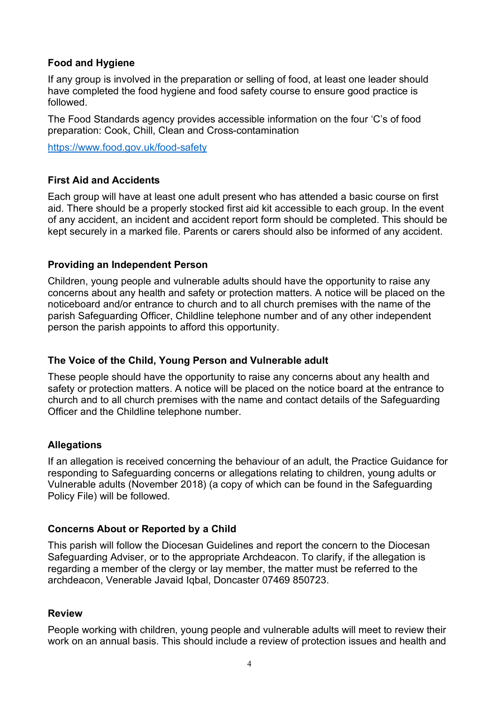### **Food and Hygiene**

If any group is involved in the preparation or selling of food, at least one leader should have completed the food hygiene and food safety course to ensure good practice is followed.

The Food Standards agency provides accessible information on the four 'C's of food preparation: Cook, Chill, Clean and Cross-contamination

https://www.food.gov.uk/food-safety

# **First Aid and Accidents**

Each group will have at least one adult present who has attended a basic course on first aid. There should be a properly stocked first aid kit accessible to each group. In the event of any accident, an incident and accident report form should be completed. This should be kept securely in a marked file. Parents or carers should also be informed of any accident.

### **Providing an Independent Person**

Children, young people and vulnerable adults should have the opportunity to raise any concerns about any health and safety or protection matters. A notice will be placed on the noticeboard and/or entrance to church and to all church premises with the name of the parish Safeguarding Officer, Childline telephone number and of any other independent person the parish appoints to afford this opportunity.

#### **The Voice of the Child, Young Person and Vulnerable adult**

These people should have the opportunity to raise any concerns about any health and safety or protection matters. A notice will be placed on the notice board at the entrance to church and to all church premises with the name and contact details of the Safeguarding Officer and the Childline telephone number.

#### **Allegations**

If an allegation is received concerning the behaviour of an adult, the Practice Guidance for responding to Safeguarding concerns or allegations relating to children, young adults or Vulnerable adults (November 2018) (a copy of which can be found in the Safeguarding Policy File) will be followed.

#### **Concerns About or Reported by a Child**

This parish will follow the Diocesan Guidelines and report the concern to the Diocesan Safeguarding Adviser, or to the appropriate Archdeacon. To clarify, if the allegation is regarding a member of the clergy or lay member, the matter must be referred to the archdeacon, Venerable Javaid Iqbal, Doncaster 07469 850723.

#### **Review**

People working with children, young people and vulnerable adults will meet to review their work on an annual basis. This should include a review of protection issues and health and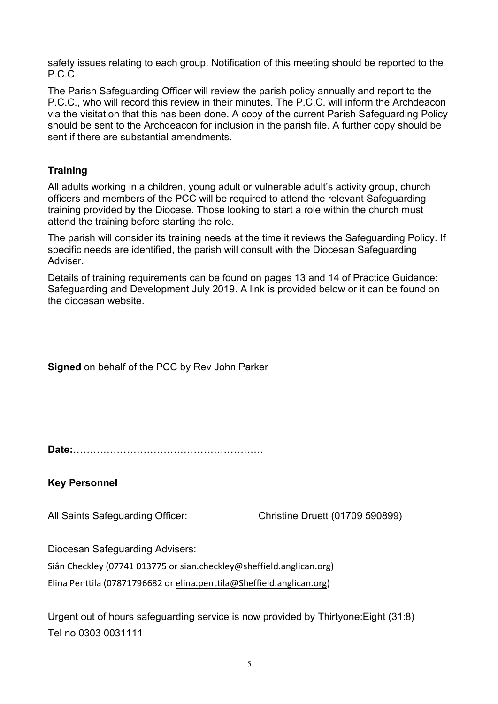safety issues relating to each group. Notification of this meeting should be reported to the P.C.C.

The Parish Safeguarding Officer will review the parish policy annually and report to the P.C.C., who will record this review in their minutes. The P.C.C. will inform the Archdeacon via the visitation that this has been done. A copy of the current Parish Safeguarding Policy should be sent to the Archdeacon for inclusion in the parish file. A further copy should be sent if there are substantial amendments.

# **Training**

All adults working in a children, young adult or vulnerable adult's activity group, church officers and members of the PCC will be required to attend the relevant Safeguarding training provided by the Diocese. Those looking to start a role within the church must attend the training before starting the role.

The parish will consider its training needs at the time it reviews the Safeguarding Policy. If specific needs are identified, the parish will consult with the Diocesan Safeguarding Adviser.

Details of training requirements can be found on pages 13 and 14 of Practice Guidance: Safeguarding and Development July 2019. A link is provided below or it can be found on the diocesan website.

**Signed** on behalf of the PCC by Rev John Parker

**Date:**…………………………………………………

**Key Personnel**

All Saints Safeguarding Officer: Christine Druett (01709 590899)

Diocesan Safeguarding Advisers:

Siân Checkley (07741 013775 or sian.checkley@sheffield.anglican.org) Elina Penttila (07871796682 or elina.penttila@Sheffield.anglican.org)

Urgent out of hours safeguarding service is now provided by Thirtyone:Eight (31:8) Tel no 0303 0031111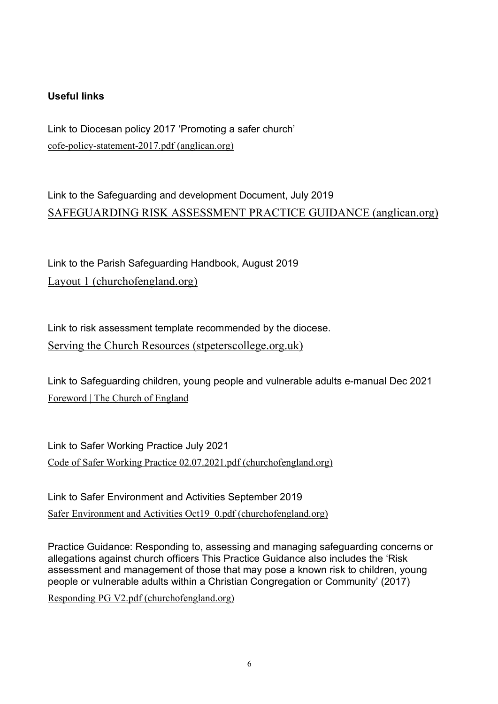# **Useful links**

Link to Diocesan policy 2017 'Promoting a safer church' cofe-policy-statement-2017.pdf (anglican.org)

Link to the Safeguarding and development Document, July 2019 SAFEGUARDING RISK ASSESSMENT PRACTICE GUIDANCE (anglican.org)

Link to the Parish Safeguarding Handbook, August 2019 Layout 1 (churchofengland.org)

Link to risk assessment template recommended by the diocese. Serving the Church Resources (stpeterscollege.org.uk)

Link to Safeguarding children, young people and vulnerable adults e-manual Dec 2021 Foreword | The Church of England

Link to Safer Working Practice July 2021 Code of Safer Working Practice 02.07.2021.pdf (churchofengland.org)

Link to Safer Environment and Activities September 2019 Safer Environment and Activities Oct19 0.pdf (churchofengland.org)

Practice Guidance: Responding to, assessing and managing safeguarding concerns or allegations against church officers This Practice Guidance also includes the 'Risk assessment and management of those that may pose a known risk to children, young people or vulnerable adults within a Christian Congregation or Community' (2017)

Responding PG V2.pdf (churchofengland.org)